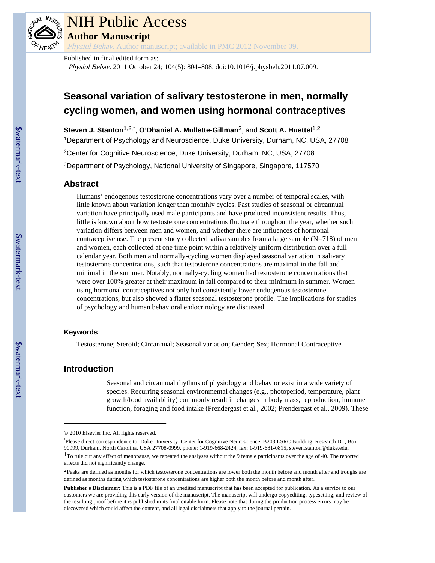

# NIH Public Access

**Author Manuscript**

Physiol Behav. Author manuscript; available in PMC 2012 November 09.

Published in final edited form as:

Physiol Behav. 2011 October 24; 104(5): 804–808. doi:10.1016/j.physbeh.2011.07.009.

# **Seasonal variation of salivary testosterone in men, normally cycling women, and women using hormonal contraceptives**

**Steven J. Stanton**1,2,\* , **O'Dhaniel A. Mullette-Gillman**3, and **Scott A. Huettel**1,2 <sup>1</sup>Department of Psychology and Neuroscience, Duke University, Durham, NC, USA, 27708 <sup>2</sup>Center for Cognitive Neuroscience, Duke University, Durham, NC, USA, 27708 <sup>3</sup>Department of Psychology, National University of Singapore, Singapore, 117570

# **Abstract**

Humans' endogenous testosterone concentrations vary over a number of temporal scales, with little known about variation longer than monthly cycles. Past studies of seasonal or circannual variation have principally used male participants and have produced inconsistent results. Thus, little is known about how testosterone concentrations fluctuate throughout the year, whether such variation differs between men and women, and whether there are influences of hormonal contraceptive use. The present study collected saliva samples from a large sample  $(N=718)$  of men and women, each collected at one time point within a relatively uniform distribution over a full calendar year. Both men and normally-cycling women displayed seasonal variation in salivary testosterone concentrations, such that testosterone concentrations are maximal in the fall and minimal in the summer. Notably, normally-cycling women had testosterone concentrations that were over 100% greater at their maximum in fall compared to their minimum in summer. Women using hormonal contraceptives not only had consistently lower endogenous testosterone concentrations, but also showed a flatter seasonal testosterone profile. The implications for studies of psychology and human behavioral endocrinology are discussed.

#### **Keywords**

Testosterone; Steroid; Circannual; Seasonal variation; Gender; Sex; Hormonal Contraceptive

## **Introduction**

Seasonal and circannual rhythms of physiology and behavior exist in a wide variety of species. Recurring seasonal environmental changes (e.g., photoperiod, temperature, plant growth/food availability) commonly result in changes in body mass, reproduction, immune function, foraging and food intake (Prendergast et al., 2002; Prendergast et al., 2009). These

<sup>© 2010</sup> Elsevier Inc. All rights reserved.

<sup>\*</sup>Please direct correspondence to: Duke University, Center for Cognitive Neuroscience, B203 LSRC Building, Research Dr., Box 90999, Durham, North Carolina, USA 27708-0999, phone: 1-919-668-2424, fax: 1-919-681-0815, steven.stanton@duke.edu.  $1$ To rule out any effect of menopause, we repeated the analyses without the 9 female participants over the age of 40. The reported effects did not significantly change.

<sup>&</sup>lt;sup>2</sup>Peaks are defined as months for which testosterone concentrations are lower both the month before and month after and troughs are defined as months during which testosterone concentrations are higher both the month before and month after.

**Publisher's Disclaimer:** This is a PDF file of an unedited manuscript that has been accepted for publication. As a service to our customers we are providing this early version of the manuscript. The manuscript will undergo copyediting, typesetting, and review of the resulting proof before it is published in its final citable form. Please note that during the production process errors may be discovered which could affect the content, and all legal disclaimers that apply to the journal pertain.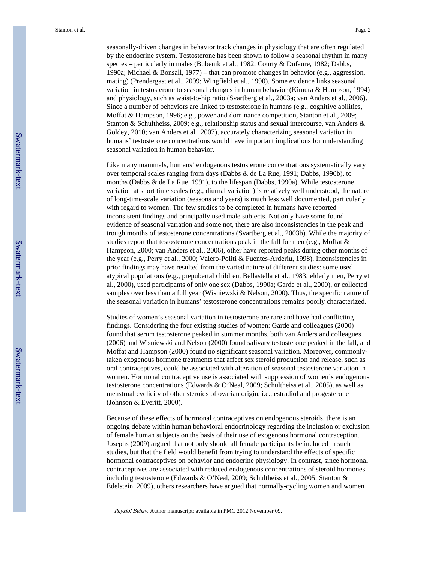seasonally-driven changes in behavior track changes in physiology that are often regulated by the endocrine system. Testosterone has been shown to follow a seasonal rhythm in many species – particularly in males (Bubenik et al., 1982; Courty & Dufaure, 1982; Dabbs, 1990a; Michael & Bonsall, 1977) – that can promote changes in behavior (e.g., aggression, mating) (Prendergast et al., 2009; Wingfield et al., 1990). Some evidence links seasonal variation in testosterone to seasonal changes in human behavior (Kimura & Hampson, 1994) and physiology, such as waist-to-hip ratio (Svartberg et al., 2003a; van Anders et al., 2006). Since a number of behaviors are linked to testosterone in humans (e.g., cognitive abilities, Moffat & Hampson, 1996; e.g., power and dominance competition, Stanton et al., 2009; Stanton & Schultheiss, 2009; e.g., relationship status and sexual intercourse, van Anders & Goldey, 2010; van Anders et al., 2007), accurately characterizing seasonal variation in humans' testosterone concentrations would have important implications for understanding seasonal variation in human behavior.

Like many mammals, humans' endogenous testosterone concentrations systematically vary over temporal scales ranging from days (Dabbs & de La Rue, 1991; Dabbs, 1990b), to months (Dabbs & de La Rue, 1991), to the lifespan (Dabbs, 1990a). While testosterone variation at short time scales (e.g., diurnal variation) is relatively well understood, the nature of long-time-scale variation (seasons and years) is much less well documented, particularly with regard to women. The few studies to be completed in humans have reported inconsistent findings and principally used male subjects. Not only have some found evidence of seasonal variation and some not, there are also inconsistencies in the peak and trough months of testosterone concentrations (Svartberg et al., 2003b). While the majority of studies report that testosterone concentrations peak in the fall for men (e.g., Moffat  $\&$ Hampson, 2000; van Anders et al., 2006), other have reported peaks during other months of the year (e.g., Perry et al., 2000; Valero-Politi & Fuentes-Arderiu, 1998). Inconsistencies in prior findings may have resulted from the varied nature of different studies: some used atypical populations (e.g., prepubertal children, Bellastella et al., 1983; elderly men, Perry et al., 2000), used participants of only one sex (Dabbs, 1990a; Garde et al., 2000), or collected samples over less than a full year (Wisniewski & Nelson, 2000). Thus, the specific nature of the seasonal variation in humans' testosterone concentrations remains poorly characterized.

Studies of women's seasonal variation in testosterone are rare and have had conflicting findings. Considering the four existing studies of women: Garde and colleagues (2000) found that serum testosterone peaked in summer months, both van Anders and colleagues (2006) and Wisniewski and Nelson (2000) found salivary testosterone peaked in the fall, and Moffat and Hampson (2000) found no significant seasonal variation. Moreover, commonlytaken exogenous hormone treatments that affect sex steroid production and release, such as oral contraceptives, could be associated with alteration of seasonal testosterone variation in women. Hormonal contraceptive use is associated with suppression of women's endogenous testosterone concentrations (Edwards & O'Neal, 2009; Schultheiss et al., 2005), as well as menstrual cyclicity of other steroids of ovarian origin, i.e., estradiol and progesterone (Johnson & Everitt, 2000).

Because of these effects of hormonal contraceptives on endogenous steroids, there is an ongoing debate within human behavioral endocrinology regarding the inclusion or exclusion of female human subjects on the basis of their use of exogenous hormonal contraception. Josephs (2009) argued that not only should all female participants be included in such studies, but that the field would benefit from trying to understand the effects of specific hormonal contraceptives on behavior and endocrine physiology. In contrast, since hormonal contraceptives are associated with reduced endogenous concentrations of steroid hormones including testosterone (Edwards & O'Neal, 2009; Schultheiss et al., 2005; Stanton & Edelstein, 2009), others researchers have argued that normally-cycling women and women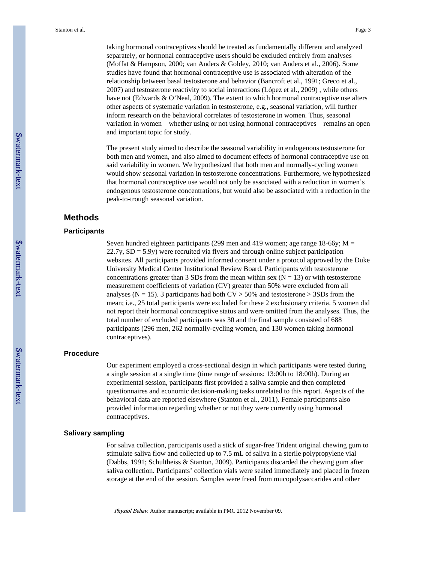taking hormonal contraceptives should be treated as fundamentally different and analyzed separately, or hormonal contraceptive users should be excluded entirely from analyses (Moffat & Hampson, 2000; van Anders & Goldey, 2010; van Anders et al., 2006). Some studies have found that hormonal contraceptive use is associated with alteration of the relationship between basal testosterone and behavior (Bancroft et al., 1991; Greco et al., 2007) and testosterone reactivity to social interactions (López et al., 2009) , while others have not (Edwards & O'Neal, 2009). The extent to which hormonal contraceptive use alters other aspects of systematic variation in testosterone, e.g., seasonal variation, will further inform research on the behavioral correlates of testosterone in women. Thus, seasonal variation in women – whether using or not using hormonal contraceptives – remains an open and important topic for study.

The present study aimed to describe the seasonal variability in endogenous testosterone for both men and women, and also aimed to document effects of hormonal contraceptive use on said variability in women. We hypothesized that both men and normally-cycling women would show seasonal variation in testosterone concentrations. Furthermore, we hypothesized that hormonal contraceptive use would not only be associated with a reduction in women's endogenous testosterone concentrations, but would also be associated with a reduction in the peak-to-trough seasonal variation.

#### **Methods**

#### **Participants**

Seven hundred eighteen participants (299 men and 419 women; age range 18-66y;  $M =$  $22.7y$ ,  $SD = 5.9y$ ) were recruited via flyers and through online subject participation websites. All participants provided informed consent under a protocol approved by the Duke University Medical Center Institutional Review Board. Participants with testosterone concentrations greater than 3 SDs from the mean within sex ( $N = 13$ ) or with testosterone measurement coefficients of variation (CV) greater than 50% were excluded from all analyses ( $N = 15$ ). 3 participants had both  $CV > 50\%$  and testosterone  $> 3SDs$  from the mean; i.e., 25 total participants were excluded for these 2 exclusionary criteria. 5 women did not report their hormonal contraceptive status and were omitted from the analyses. Thus, the total number of excluded participants was 30 and the final sample consisted of 688 participants (296 men, 262 normally-cycling women, and 130 women taking hormonal contraceptives).

#### **Procedure**

Our experiment employed a cross-sectional design in which participants were tested during a single session at a single time (time range of sessions: 13:00h to 18:00h). During an experimental session, participants first provided a saliva sample and then completed questionnaires and economic decision-making tasks unrelated to this report. Aspects of the behavioral data are reported elsewhere (Stanton et al., 2011). Female participants also provided information regarding whether or not they were currently using hormonal contraceptives.

#### **Salivary sampling**

For saliva collection, participants used a stick of sugar-free Trident original chewing gum to stimulate saliva flow and collected up to 7.5 mL of saliva in a sterile polypropylene vial (Dabbs, 1991; Schultheiss & Stanton, 2009). Participants discarded the chewing gum after saliva collection. Participants' collection vials were sealed immediately and placed in frozen storage at the end of the session. Samples were freed from mucopolysaccarides and other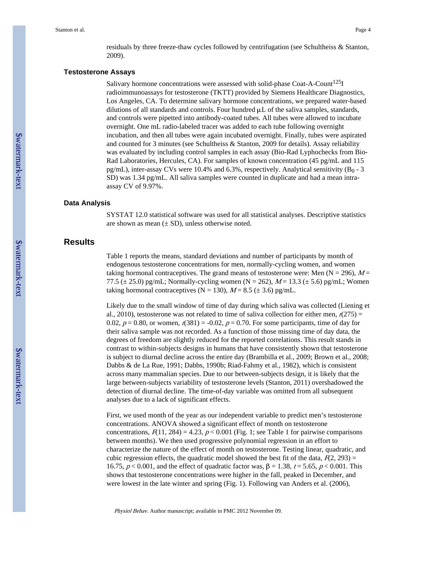residuals by three freeze-thaw cycles followed by centrifugation (see Schultheiss & Stanton, 2009).

#### **Testosterone Assays**

Salivary hormone concentrations were assessed with solid-phase Coat-A-Count<sup>125</sup>I radioimmunoassays for testosterone (TKTT) provided by Siemens Healthcare Diagnostics, Los Angeles, CA. To determine salivary hormone concentrations, we prepared water-based dilutions of all standards and controls. Four hundred  $\mu$ L of the saliva samples, standards, and controls were pipetted into antibody-coated tubes. All tubes were allowed to incubate overnight. One mL radio-labeled tracer was added to each tube following overnight incubation, and then all tubes were again incubated overnight. Finally, tubes were aspirated and counted for 3 minutes (see Schultheiss & Stanton, 2009 for details). Assay reliability was evaluated by including control samples in each assay (Bio-Rad Lyphochecks from Bio-Rad Laboratories, Hercules, CA). For samples of known concentration (45 pg/mL and 115 pg/mL), inter-assay CVs were 10.4% and 6.3%, respectively. Analytical sensitivity  $(B_0 - 3)$ SD) was 1.34 pg/mL. All saliva samples were counted in duplicate and had a mean intraassay CV of 9.97%.

#### **Data Analysis**

SYSTAT 12.0 statistical software was used for all statistical analyses. Descriptive statistics are shown as mean  $(\pm SD)$ , unless otherwise noted.

#### **Results**

Table 1 reports the means, standard deviations and number of participants by month of endogenous testosterone concentrations for men, normally-cycling women, and women taking hormonal contraceptives. The grand means of testosterone were: Men ( $N = 296$ ),  $M =$ 77.5 ( $\pm$  25.0) pg/mL; Normally-cycling women (N = 262),  $M$  = 13.3 ( $\pm$  5.6) pg/mL; Women taking hormonal contraceptives (N = 130),  $M = 8.5 \ (\pm 3.6)$  pg/mL.

Likely due to the small window of time of day during which saliva was collected (Liening et al., 2010), testosterone was not related to time of saliva collection for either men,  $r(275)$  = 0.02,  $p = 0.80$ , or women,  $r(381) = -0.02$ ,  $p = 0.70$ . For some participants, time of day for their saliva sample was not recorded. As a function of those missing time of day data, the degrees of freedom are slightly reduced for the reported correlations. This result stands in contrast to within-subjects designs in humans that have consistently shown that testosterone is subject to diurnal decline across the entire day (Brambilla et al., 2009; Brown et al., 2008; Dabbs & de La Rue, 1991; Dabbs, 1990b; Riad-Fahmy et al., 1982), which is consistent across many mammalian species. Due to our between-subjects design, it is likely that the large between-subjects variability of testosterone levels (Stanton, 2011) overshadowed the detection of diurnal decline. The time-of-day variable was omitted from all subsequent analyses due to a lack of significant effects.

First, we used month of the year as our independent variable to predict men's testosterone concentrations. ANOVA showed a significant effect of month on testosterone concentrations,  $F(11, 284) = 4.23$ ,  $p < 0.001$  (Fig. 1; see Table 1 for pairwise comparisons between months). We then used progressive polynomial regression in an effort to characterize the nature of the effect of month on testosterone. Testing linear, quadratic, and cubic regression effects, the quadratic model showed the best fit of the data,  $F(2, 293) =$ 16.75,  $p < 0.001$ , and the effect of quadratic factor was,  $β = 1.38$ ,  $t = 5.65$ ,  $p < 0.001$ . This shows that testosterone concentrations were higher in the fall, peaked in December, and were lowest in the late winter and spring (Fig. 1). Following van Anders et al. (2006),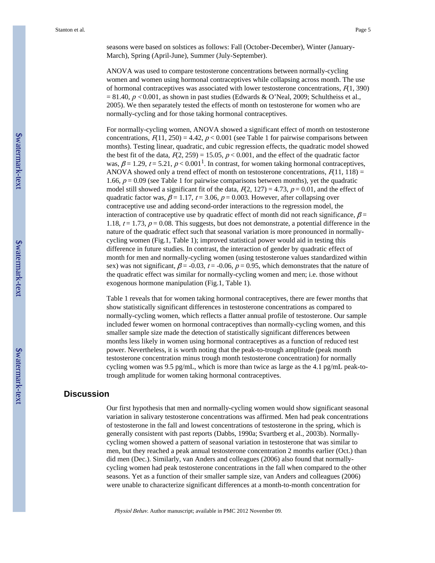seasons were based on solstices as follows: Fall (October-December), Winter (January-March), Spring (April-June), Summer (July-September).

ANOVA was used to compare testosterone concentrations between normally-cycling women and women using hormonal contraceptives while collapsing across month. The use of hormonal contraceptives was associated with lower testosterone concentrations,  $F(1, 390)$  $= 81.40, p < 0.001$ , as shown in past studies (Edwards & O'Neal, 2009; Schultheiss et al., 2005). We then separately tested the effects of month on testosterone for women who are normally-cycling and for those taking hormonal contraceptives.

For normally-cycling women, ANOVA showed a significant effect of month on testosterone concentrations,  $F(11, 250) = 4.42$ ,  $p < 0.001$  (see Table 1 for pairwise comparisons between months). Testing linear, quadratic, and cubic regression effects, the quadratic model showed the best fit of the data,  $F(2, 259) = 15.05$ ,  $p < 0.001$ , and the effect of the quadratic factor was,  $\beta$  = 1.29, t = 5.21,  $p$  < 0.001<sup>1</sup>. In contrast, for women taking hormonal contraceptives, ANOVA showed only a trend effect of month on testosterone concentrations,  $F(11, 118) =$ 1.66,  $p = 0.09$  (see Table 1 for pairwise comparisons between months), yet the quadratic model still showed a significant fit of the data,  $F(2, 127) = 4.73$ ,  $p = 0.01$ , and the effect of quadratic factor was,  $\beta = 1.17$ ,  $t = 3.06$ ,  $p = 0.003$ . However, after collapsing over contraceptive use and adding second-order interactions to the regression model, the interaction of contraceptive use by quadratic effect of month did not reach significance,  $\beta$  = 1.18,  $t = 1.73$ ,  $p = 0.08$ . This suggests, but does not demonstrate, a potential difference in the nature of the quadratic effect such that seasonal variation is more pronounced in normallycycling women (Fig.1, Table 1); improved statistical power would aid in testing this difference in future studies. In contrast, the interaction of gender by quadratic effect of month for men and normally-cycling women (using testosterone values standardized within sex) was not significant,  $\beta$  = -0.03, t = -0.06, p = 0.95, which demonstrates that the nature of the quadratic effect was similar for normally-cycling women and men; i.e. those without exogenous hormone manipulation (Fig.1, Table 1).

Table 1 reveals that for women taking hormonal contraceptives, there are fewer months that show statistically significant differences in testosterone concentrations as compared to normally-cycling women, which reflects a flatter annual profile of testosterone. Our sample included fewer women on hormonal contraceptives than normally-cycling women, and this smaller sample size made the detection of statistically significant differences between months less likely in women using hormonal contraceptives as a function of reduced test power. Nevertheless, it is worth noting that the peak-to-trough amplitude (peak month testosterone concentration minus trough month testosterone concentration) for normally cycling women was 9.5 pg/mL, which is more than twice as large as the 4.1 pg/mL peak-totrough amplitude for women taking hormonal contraceptives.

### **Discussion**

Our first hypothesis that men and normally-cycling women would show significant seasonal variation in salivary testosterone concentrations was affirmed. Men had peak concentrations of testosterone in the fall and lowest concentrations of testosterone in the spring, which is generally consistent with past reports (Dabbs, 1990a; Svartberg et al., 2003b). Normallycycling women showed a pattern of seasonal variation in testosterone that was similar to men, but they reached a peak annual testosterone concentration 2 months earlier (Oct.) than did men (Dec.). Similarly, van Anders and colleagues (2006) also found that normallycycling women had peak testosterone concentrations in the fall when compared to the other seasons. Yet as a function of their smaller sample size, van Anders and colleagues (2006) were unable to characterize significant differences at a month-to-month concentration for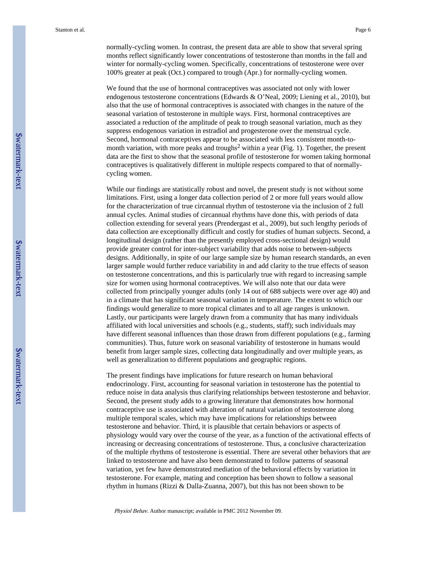normally-cycling women. In contrast, the present data are able to show that several spring months reflect significantly lower concentrations of testosterone than months in the fall and winter for normally-cycling women. Specifically, concentrations of testosterone were over 100% greater at peak (Oct.) compared to trough (Apr.) for normally-cycling women.

We found that the use of hormonal contraceptives was associated not only with lower endogenous testosterone concentrations (Edwards & O'Neal, 2009; Liening et al., 2010), but also that the use of hormonal contraceptives is associated with changes in the nature of the seasonal variation of testosterone in multiple ways. First, hormonal contraceptives are associated a reduction of the amplitude of peak to trough seasonal variation, much as they suppress endogenous variation in estradiol and progesterone over the menstrual cycle. Second, hormonal contraceptives appear to be associated with less consistent month-tomonth variation, with more peaks and troughs<sup>2</sup> within a year (Fig. 1). Together, the present data are the first to show that the seasonal profile of testosterone for women taking hormonal contraceptives is qualitatively different in multiple respects compared to that of normallycycling women.

While our findings are statistically robust and novel, the present study is not without some limitations. First, using a longer data collection period of 2 or more full years would allow for the characterization of true circannual rhythm of testosterone via the inclusion of 2 full annual cycles. Animal studies of circannual rhythms have done this, with periods of data collection extending for several years (Prendergast et al., 2009), but such lengthy periods of data collection are exceptionally difficult and costly for studies of human subjects. Second, a longitudinal design (rather than the presently employed cross-sectional design) would provide greater control for inter-subject variability that adds noise to between-subjects designs. Additionally, in spite of our large sample size by human research standards, an even larger sample would further reduce variability in and add clarity to the true effects of season on testosterone concentrations, and this is particularly true with regard to increasing sample size for women using hormonal contraceptives. We will also note that our data were collected from principally younger adults (only 14 out of 688 subjects were over age 40) and in a climate that has significant seasonal variation in temperature. The extent to which our findings would generalize to more tropical climates and to all age ranges is unknown. Lastly, our participants were largely drawn from a community that has many individuals affiliated with local universities and schools (e.g., students, staff); such individuals may have different seasonal influences than those drawn from different populations (e.g., farming communities). Thus, future work on seasonal variability of testosterone in humans would benefit from larger sample sizes, collecting data longitudinally and over multiple years, as well as generalization to different populations and geographic regions.

The present findings have implications for future research on human behavioral endocrinology. First, accounting for seasonal variation in testosterone has the potential to reduce noise in data analysis thus clarifying relationships between testosterone and behavior. Second, the present study adds to a growing literature that demonstrates how hormonal contraceptive use is associated with alteration of natural variation of testosterone along multiple temporal scales, which may have implications for relationships between testosterone and behavior. Third, it is plausible that certain behaviors or aspects of physiology would vary over the course of the year, as a function of the activational effects of increasing or decreasing concentrations of testosterone. Thus, a conclusive characterization of the multiple rhythms of testosterone is essential. There are several other behaviors that are linked to testosterone and have also been demonstrated to follow patterns of seasonal variation, yet few have demonstrated mediation of the behavioral effects by variation in testosterone. For example, mating and conception has been shown to follow a seasonal rhythm in humans (Rizzi & Dalla-Zuanna, 2007), but this has not been shown to be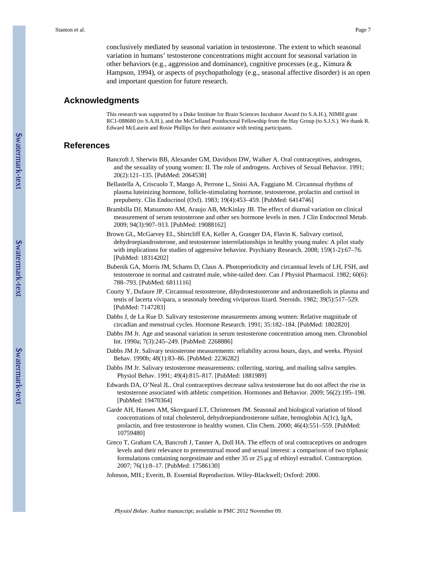conclusively mediated by seasonal variation in testosterone. The extent to which seasonal variation in humans' testosterone concentrations might account for seasonal variation in other behaviors (e.g., aggression and dominance), cognitive processes (e.g., Kimura & Hampson, 1994), or aspects of psychopathology (e.g., seasonal affective disorder) is an open and important question for future research.

#### **Acknowledgments**

This research was supported by a Duke Institute for Brain Sciences Incubator Award (to S.A.H.), NIMH grant RC1-088680 (to S.A.H.), and the McClelland Postdoctoral Fellowship from the Hay Group (to S.J.S.). We thank R. Edward McLaurin and Rosie Phillips for their assistance with testing participants.

### **References**

- Bancroft J, Sherwin BB, Alexander GM, Davidson DW, Walker A. Oral contraceptives, androgens, and the sexuality of young women: II. The role of androgens. Archives of Sexual Behavior. 1991; 20(2):121–135. [PubMed: 2064538]
- Bellastella A, Criscuolo T, Mango A, Perrone L, Sinisi AA, Faggiano M. Circannual rhythms of plasma luteinizing hormone, follicle-stimulating hormone, testosterone, prolactin and cortisol in prepuberty. Clin Endocrinol (Oxf). 1983; 19(4):453–459. [PubMed: 6414746]
- Brambilla DJ, Matsumoto AM, Araujo AB, McKinlay JB. The effect of diurnal variation on clinical measurement of serum testosterone and other sex hormone levels in men. J Clin Endocrinol Metab. 2009; 94(3):907–913. [PubMed: 19088162]
- Brown GL, McGarvey EL, Shirtcliff EA, Keller A, Granger DA, Flavin K. Salivary cortisol, dehydroepiandrosterone, and testosterone interrelationships in healthy young males: A pilot study with implications for studies of aggressive behavior. Psychiatry Research. 2008; 159(1-2):67–76. [PubMed: 18314202]
- Bubenik GA, Morris JM, Schams D, Claus A. Photoperiodicity and circannual levels of LH, FSH, and testosterone in normal and castrated male, white-tailed deer. Can J Physiol Pharmacol. 1982; 60(6): 788–793. [PubMed: 6811116]
- Courty Y, Dufaure JP. Circannual testosterone, dihydrotestosterone and androstanediols in plasma and testis of lacerta vivipara, a seasonaly breeding viviparous lizard. Steroids. 1982; 39(5):517–529. [PubMed: 7147283]
- Dabbs J, de La Rue D. Salivary testosterone measurements among women: Relative magnitude of circadian and menstrual cycles. Hormone Research. 1991; 35:182–184. [PubMed: 1802820]
- Dabbs JM Jr. Age and seasonal variation in serum testosterone concentration among men. Chronobiol Int. 1990a; 7(3):245–249. [PubMed: 2268886]
- Dabbs JM Jr. Salivary testosterone measurements: reliability across hours, days, and weeks. Physiol Behav. 1990b; 48(1):83–86. [PubMed: 2236282]
- Dabbs JM Jr. Salivary testosterone measurements: collecting, storing, and mailing saliva samples. Physiol Behav. 1991; 49(4):815–817. [PubMed: 1881989]
- Edwards DA, O'Neal JL. Oral contraceptives decrease saliva testosterone but do not affect the rise in testosterone associated with athletic competition. Hormones and Behavior. 2009; 56(2):195–198. [PubMed: 19470364]
- Garde AH, Hansen AM, Skovgaard LT, Christensen JM. Seasonal and biological variation of blood concentrations of total cholesterol, dehydroepiandrosterone sulfate, hemoglobin A(1c), IgA, prolactin, and free testosterone in healthy women. Clin Chem. 2000; 46(4):551–559. [PubMed: 10759480]
- Greco T, Graham CA, Bancroft J, Tanner A, Doll HA. The effects of oral contraceptives on androgen levels and their relevance to premenstrual mood and sexual interest: a comparison of two triphasic formulations containing norgestimate and either 35 or 25 μg of ethinyl estradiol. Contraception. 2007; 76(1):8–17. [PubMed: 17586130]
- Johnson, MH.; Everitt, B. Essential Reproduction. Wiley-Blackwell; Oxford: 2000.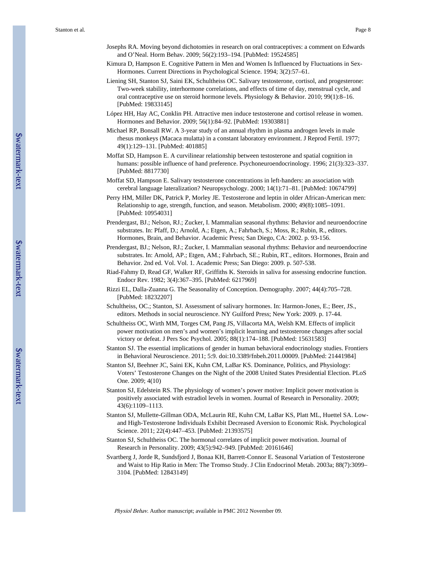- Josephs RA. Moving beyond dichotomies in research on oral contraceptives: a comment on Edwards and O'Neal. Horm Behav. 2009; 56(2):193–194. [PubMed: 19524585]
- Kimura D, Hampson E. Cognitive Pattern in Men and Women Is Influenced by Fluctuations in Sex-Hormones. Current Directions in Psychological Science. 1994; 3(2):57–61.
- Liening SH, Stanton SJ, Saini EK, Schultheiss OC. Salivary testosterone, cortisol, and progesterone: Two-week stability, interhormone correlations, and effects of time of day, menstrual cycle, and oral contraceptive use on steroid hormone levels. Physiology & Behavior. 2010; 99(1):8–16. [PubMed: 19833145]
- López HH, Hay AC, Conklin PH. Attractive men induce testosterone and cortisol release in women. Hormones and Behavior. 2009; 56(1):84–92. [PubMed: 19303881]
- Michael RP, Bonsall RW. A 3-year study of an annual rhythm in plasma androgen levels in male rhesus monkeys (Macaca mulatta) in a constant laboratory environment. J Reprod Fertil. 1977; 49(1):129–131. [PubMed: 401885]
- Moffat SD, Hampson E. A curvilinear relationship between testosterone and spatial cognition in humans: possible influence of hand preference. Psychoneuroendocrinology. 1996; 21(3):323–337. [PubMed: 8817730]
- Moffat SD, Hampson E. Salivary testosterone concentrations in left-handers: an association with cerebral language lateralization? Neuropsychology. 2000; 14(1):71–81. [PubMed: 10674799]
- Perry HM, Miller DK, Patrick P, Morley JE. Testosterone and leptin in older African-American men: Relationship to age, strength, function, and season. Metabolism. 2000; 49(8):1085–1091. [PubMed: 10954031]
- Prendergast, BJ.; Nelson, RJ.; Zucker, I. Mammalian seasonal rhythms: Behavior and neuroendocrine substrates. In: Pfaff, D.; Arnold, A.; Etgen, A.; Fahrbach, S.; Moss, R.; Rubin, R., editors. Hormones, Brain, and Behavior. Academic Press; San Diego, CA: 2002. p. 93-156.
- Prendergast, BJ.; Nelson, RJ.; Zucker, I. Mammalian seasonal rhythms: Behavior and neuroendocrine substrates. In: Arnold, AP.; Etgen, AM.; Fahrbach, SE.; Rubin, RT., editors. Hormones, Brain and Behavior. 2nd ed. Vol. Vol. 1. Academic Press; San Diego: 2009. p. 507-538.
- Riad-Fahmy D, Read GF, Walker RF, Griffiths K. Steroids in saliva for assessing endocrine function. Endocr Rev. 1982; 3(4):367–395. [PubMed: 6217969]
- Rizzi EL, Dalla-Zuanna G. The Seasonality of Conception. Demography. 2007; 44(4):705–728. [PubMed: 18232207]
- Schultheiss, OC.; Stanton, SJ. Assessment of salivary hormones. In: Harmon-Jones, E.; Beer, JS., editors. Methods in social neuroscience. NY Guilford Press; New York: 2009. p. 17-44.
- Schultheiss OC, Wirth MM, Torges CM, Pang JS, Villacorta MA, Welsh KM. Effects of implicit power motivation on men's and women's implicit learning and testosterone changes after social victory or defeat. J Pers Soc Psychol. 2005; 88(1):174–188. [PubMed: 15631583]
- Stanton SJ. The essential implications of gender in human behavioral endocrinology studies. Frontiers in Behavioral Neuroscience. 2011; 5:9. doi:10.3389/fnbeh.2011.00009. [PubMed: 21441984]
- Stanton SJ, Beehner JC, Saini EK, Kuhn CM, LaBar KS. Dominance, Politics, and Physiology: Voters' Testosterone Changes on the Night of the 2008 United States Presidential Election. PLoS One. 2009; 4(10)
- Stanton SJ, Edelstein RS. The physiology of women's power motive: Implicit power motivation is positively associated with estradiol levels in women. Journal of Research in Personality. 2009; 43(6):1109–1113.
- Stanton SJ, Mullette-Gillman ODA, McLaurin RE, Kuhn CM, LaBar KS, Platt ML, Huettel SA. Lowand High-Testosterone Individuals Exhibit Decreased Aversion to Economic Risk. Psychological Science. 2011; 22(4):447–453. [PubMed: 21393575]
- Stanton SJ, Schultheiss OC. The hormonal correlates of implicit power motivation. Journal of Research in Personality. 2009; 43(5):942–949. [PubMed: 20161646]
- Svartberg J, Jorde R, Sundsfjord J, Bonaa KH, Barrett-Connor E. Seasonal Variation of Testosterone and Waist to Hip Ratio in Men: The Tromso Study. J Clin Endocrinol Metab. 2003a; 88(7):3099– 3104. [PubMed: 12843149]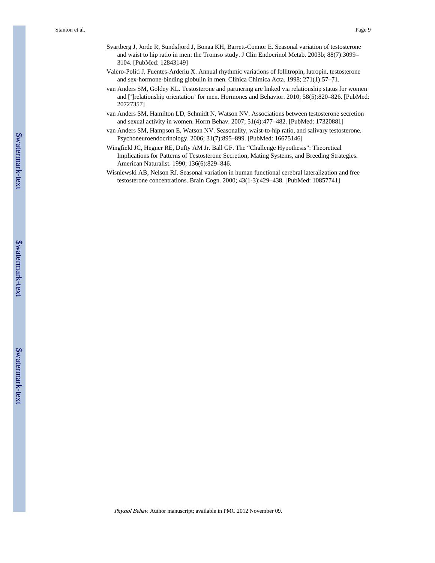- Svartberg J, Jorde R, Sundsfjord J, Bonaa KH, Barrett-Connor E. Seasonal variation of testosterone and waist to hip ratio in men: the Tromso study. J Clin Endocrinol Metab. 2003b; 88(7):3099– 3104. [PubMed: 12843149]
- Valero-Politi J, Fuentes-Arderiu X. Annual rhythmic variations of follitropin, lutropin, testosterone and sex-hormone-binding globulin in men. Clinica Chimica Acta. 1998; 271(1):57–71.
- van Anders SM, Goldey KL. Testosterone and partnering are linked via relationship status for women and [']relationship orientation' for men. Hormones and Behavior. 2010; 58(5):820–826. [PubMed: 20727357]
- van Anders SM, Hamilton LD, Schmidt N, Watson NV. Associations between testosterone secretion and sexual activity in women. Horm Behav. 2007; 51(4):477–482. [PubMed: 17320881]
- van Anders SM, Hampson E, Watson NV. Seasonality, waist-to-hip ratio, and salivary testosterone. Psychoneuroendocrinology. 2006; 31(7):895–899. [PubMed: 16675146]
- Wingfield JC, Hegner RE, Dufty AM Jr. Ball GF. The "Challenge Hypothesis": Theoretical Implications for Patterns of Testosterone Secretion, Mating Systems, and Breeding Strategies. American Naturalist. 1990; 136(6):829–846.
- Wisniewski AB, Nelson RJ. Seasonal variation in human functional cerebral lateralization and free testosterone concentrations. Brain Cogn. 2000; 43(1-3):429–438. [PubMed: 10857741]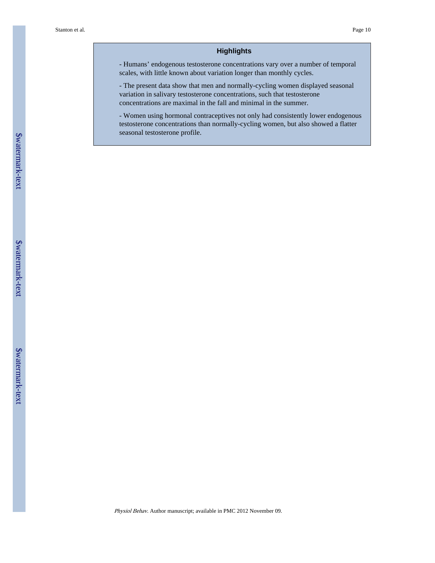#### **Highlights**

- Humans' endogenous testosterone concentrations vary over a number of temporal scales, with little known about variation longer than monthly cycles.

- The present data show that men and normally-cycling women displayed seasonal variation in salivary testosterone concentrations, such that testosterone concentrations are maximal in the fall and minimal in the summer.

- Women using hormonal contraceptives not only had consistently lower endogenous testosterone concentrations than normally-cycling women, but also showed a flatter seasonal testosterone profile.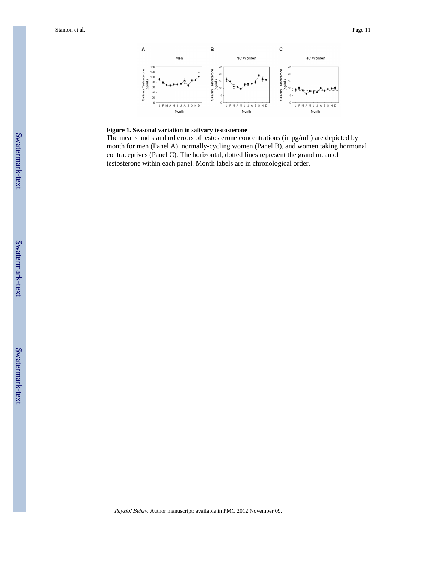

#### **Figure 1. Seasonal variation in salivary testosterone**

The means and standard errors of testosterone concentrations (in pg/mL) are depicted by month for men (Panel A), normally-cycling women (Panel B), and women taking hormonal contraceptives (Panel C). The horizontal, dotted lines represent the grand mean of testosterone within each panel. Month labels are in chronological order.